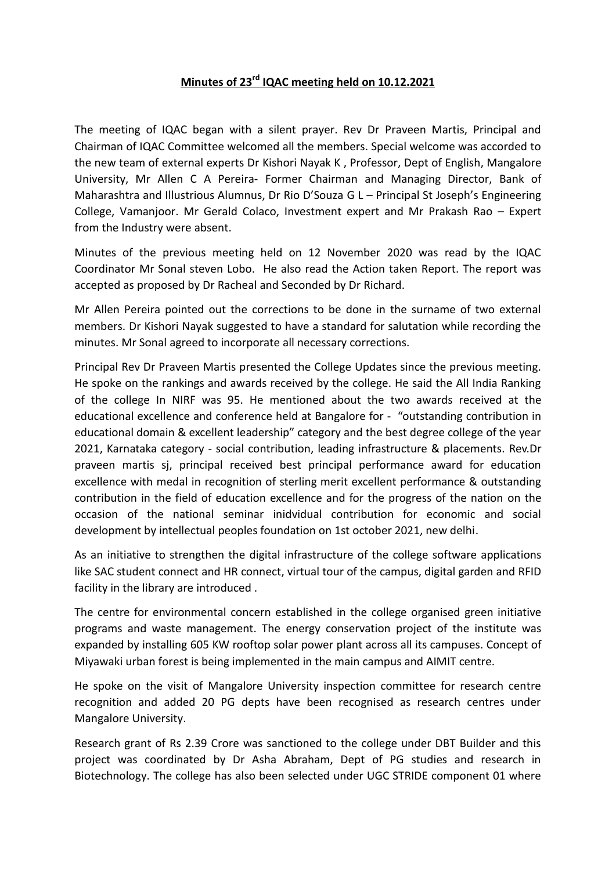## **Minutes of 23rd IQAC meeting held on 10.12.2021**

The meeting of IQAC began with a silent prayer. Rev Dr Praveen Martis, Principal and Chairman of IQAC Committee welcomed all the members. Special welcome was accorded to the new team of external experts Dr Kishori Nayak K , Professor, Dept of English, Mangalore University, Mr Allen C A Pereira- Former Chairman and Managing Director, Bank of Maharashtra and Illustrious Alumnus, Dr Rio D'Souza G L – Principal St Joseph's Engineering College, Vamanjoor. Mr Gerald Colaco, Investment expert and Mr Prakash Rao – Expert from the Industry were absent.

Minutes of the previous meeting held on 12 November 2020 was read by the IQAC Coordinator Mr Sonal steven Lobo. He also read the Action taken Report. The report was accepted as proposed by Dr Racheal and Seconded by Dr Richard.

Mr Allen Pereira pointed out the corrections to be done in the surname of two external members. Dr Kishori Nayak suggested to have a standard for salutation while recording the minutes. Mr Sonal agreed to incorporate all necessary corrections.

Principal Rev Dr Praveen Martis presented the College Updates since the previous meeting. He spoke on the rankings and awards received by the college. He said the All India Ranking of the college In NIRF was 95. He mentioned about the two awards received at the educational excellence and conference held at Bangalore for - "outstanding contribution in educational domain & excellent leadership" category and the best degree college of the year 2021, Karnataka category - social contribution, leading infrastructure & placements. Rev.Dr praveen martis sj, principal received best principal performance award for education excellence with medal in recognition of sterling merit excellent performance & outstanding contribution in the field of education excellence and for the progress of the nation on the occasion of the national seminar inidvidual contribution for economic and social development by intellectual peoples foundation on 1st october 2021, new delhi.

As an initiative to strengthen the digital infrastructure of the college software applications like SAC student connect and HR connect, virtual tour of the campus, digital garden and RFID facility in the library are introduced .

The centre for environmental concern established in the college organised green initiative programs and waste management. The energy conservation project of the institute was expanded by installing 605 KW rooftop solar power plant across all its campuses. Concept of Miyawaki urban forest is being implemented in the main campus and AIMIT centre.

He spoke on the visit of Mangalore University inspection committee for research centre recognition and added 20 PG depts have been recognised as research centres under Mangalore University.

Research grant of Rs 2.39 Crore was sanctioned to the college under DBT Builder and this project was coordinated by Dr Asha Abraham, Dept of PG studies and research in Biotechnology. The college has also been selected under UGC STRIDE component 01 where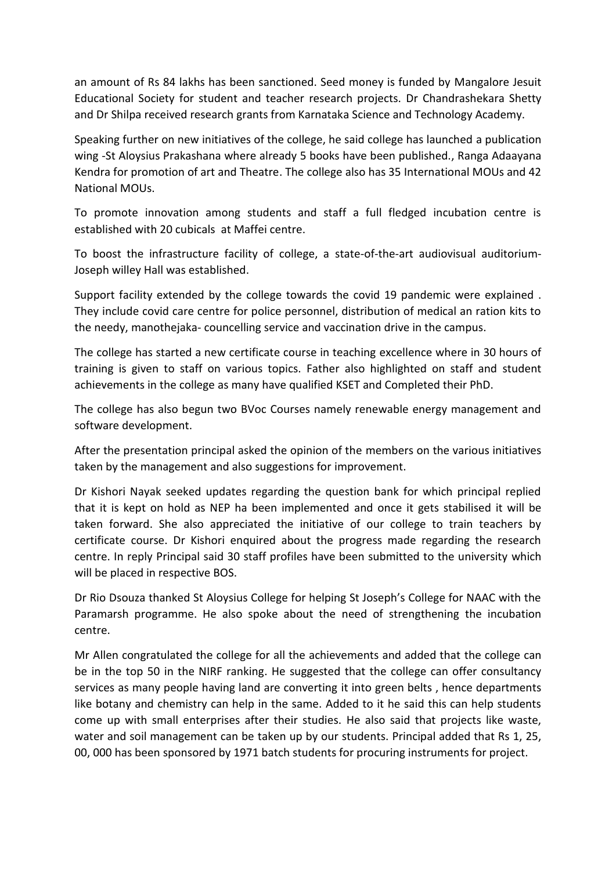an amount of Rs 84 lakhs has been sanctioned. Seed money is funded by Mangalore Jesuit Educational Society for student and teacher research projects. Dr Chandrashekara Shetty and Dr Shilpa received research grants from Karnataka Science and Technology Academy.

Speaking further on new initiatives of the college, he said college has launched a publication wing -St Aloysius Prakashana where already 5 books have been published., Ranga Adaayana Kendra for promotion of art and Theatre. The college also has 35 International MOUs and 42 National MOUs.

To promote innovation among students and staff a full fledged incubation centre is established with 20 cubicals at Maffei centre.

To boost the infrastructure facility of college, a state-of-the-art audiovisual auditorium-Joseph willey Hall was established.

Support facility extended by the college towards the covid 19 pandemic were explained . They include covid care centre for police personnel, distribution of medical an ration kits to the needy, manothejaka- councelling service and vaccination drive in the campus.

The college has started a new certificate course in teaching excellence where in 30 hours of training is given to staff on various topics. Father also highlighted on staff and student achievements in the college as many have qualified KSET and Completed their PhD.

The college has also begun two BVoc Courses namely renewable energy management and software development.

After the presentation principal asked the opinion of the members on the various initiatives taken by the management and also suggestions for improvement.

Dr Kishori Nayak seeked updates regarding the question bank for which principal replied that it is kept on hold as NEP ha been implemented and once it gets stabilised it will be taken forward. She also appreciated the initiative of our college to train teachers by certificate course. Dr Kishori enquired about the progress made regarding the research centre. In reply Principal said 30 staff profiles have been submitted to the university which will be placed in respective BOS.

Dr Rio Dsouza thanked St Aloysius College for helping St Joseph's College for NAAC with the Paramarsh programme. He also spoke about the need of strengthening the incubation centre.

Mr Allen congratulated the college for all the achievements and added that the college can be in the top 50 in the NIRF ranking. He suggested that the college can offer consultancy services as many people having land are converting it into green belts , hence departments like botany and chemistry can help in the same. Added to it he said this can help students come up with small enterprises after their studies. He also said that projects like waste, water and soil management can be taken up by our students. Principal added that Rs 1, 25, 00, 000 has been sponsored by 1971 batch students for procuring instruments for project.